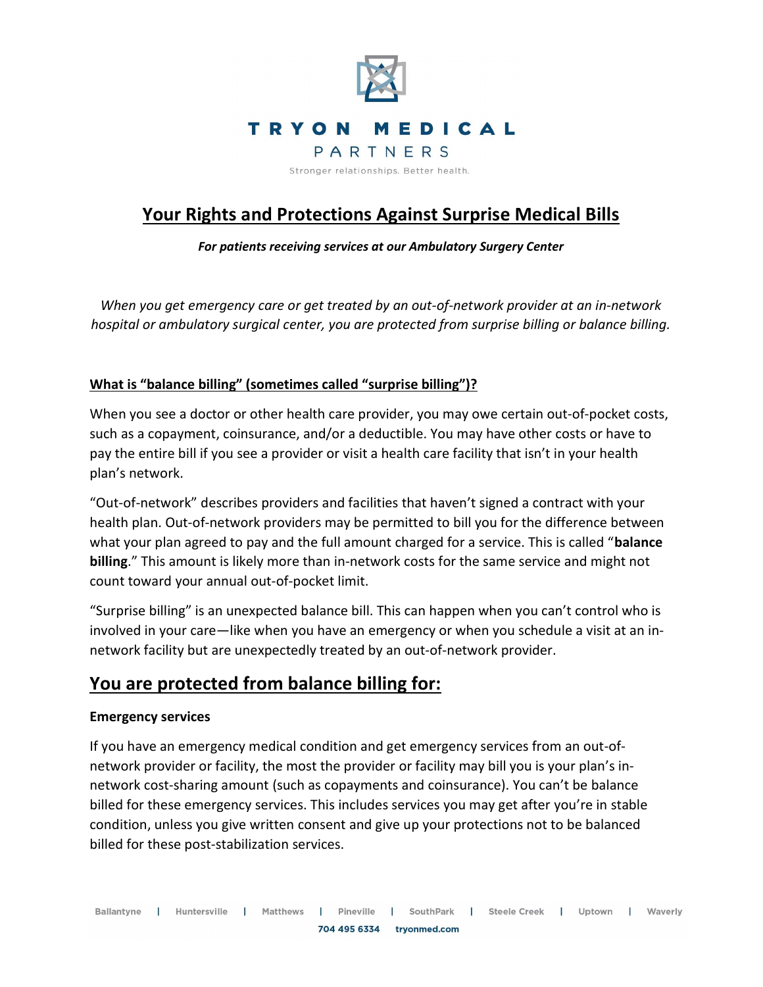

# Your Rights and Protections Against Surprise Medical Bills

For patients receiving services at our Ambulatory Surgery Center

When you get emergency care or get treated by an out-of-network provider at an in-network hospital or ambulatory surgical center, you are protected from surprise billing or balance billing.

### What is "balance billing" (sometimes called "surprise billing")?

When you see a doctor or other health care provider, you may owe certain out-of-pocket costs, such as a copayment, coinsurance, and/or a deductible. You may have other costs or have to pay the entire bill if you see a provider or visit a health care facility that isn't in your health plan's network.

"Out-of-network" describes providers and facilities that haven't signed a contract with your health plan. Out-of-network providers may be permitted to bill you for the difference between what your plan agreed to pay and the full amount charged for a service. This is called "balance" billing." This amount is likely more than in-network costs for the same service and might not count toward your annual out-of-pocket limit.

"Surprise billing" is an unexpected balance bill. This can happen when you can't control who is involved in your care—like when you have an emergency or when you schedule a visit at an innetwork facility but are unexpectedly treated by an out-of-network provider.

## You are protected from balance billing for:

### Emergency services

If you have an emergency medical condition and get emergency services from an out-ofnetwork provider or facility, the most the provider or facility may bill you is your plan's innetwork cost-sharing amount (such as copayments and coinsurance). You can't be balance billed for these emergency services. This includes services you may get after you're in stable condition, unless you give written consent and give up your protections not to be balanced billed for these post-stabilization services.